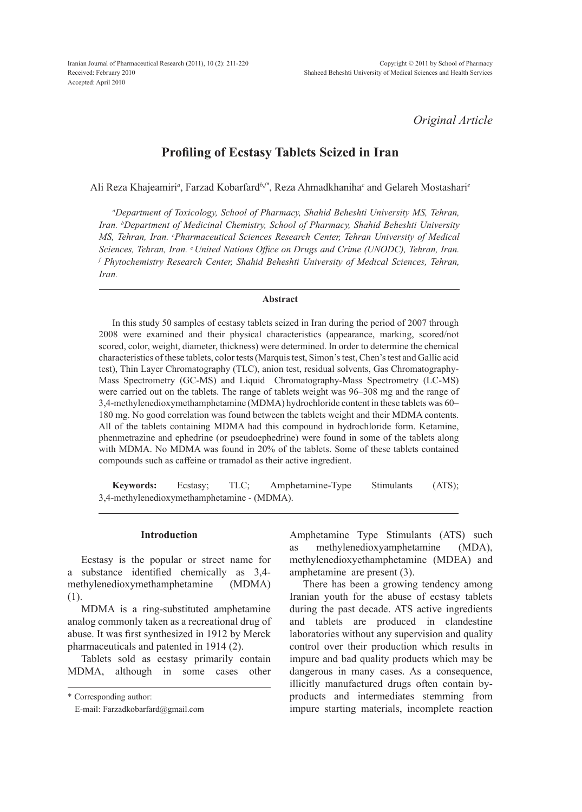Iranian Journal of Pharmaceutical Research (2011), 10 (2): 211-220 Received: February 2010 Accepted: April 2010

*Original Article*

# **Profiling of Ecstasy Tablets Seized in Iran**

Ali Reza Khajeamiri<sup>a</sup>, Farzad Kobarfard<sup>b, \*</sup>, Reza Ahmadkhaniha<sup>c</sup> and Gelareh Mostashari<sup>e</sup>

*a Department of Toxicology, School of Pharmacy, Shahid Beheshti University MS, Tehran, Iran. b Department of Medicinal Chemistry, School of Pharmacy, Shahid Beheshti University MS, Tehran, Iran. c Pharmaceutical Sciences Research Center, Tehran University of Medical Sciences, Tehran, Iran. e United Nations Office on Drugs and Crime (UNODC), Tehran, Iran. f Phytochemistry Research Center, Shahid Beheshti University of Medical Sciences, Tehran, Iran.*

#### **Abstract**

In this study 50 samples of ecstasy tablets seized in Iran during the period of 2007 through 2008 were examined and their physical characteristics (appearance, marking, scored/not scored, color, weight, diameter, thickness) were determined. In order to determine the chemical characteristics of these tablets, color tests (Marquis test, Simon's test, Chen's test and Gallic acid test), Thin Layer Chromatography (TLC), anion test, residual solvents, Gas Chromatography-Mass Spectrometry (GC-MS) and Liquid Chromatography-Mass Spectrometry (LC-MS) were carried out on the tablets. The range of tablets weight was 96–308 mg and the range of 3,4-methylenedioxymethamphetamine (MDMA) hydrochloride content in these tablets was 60– 180 mg. No good correlation was found between the tablets weight and their MDMA contents. All of the tablets containing MDMA had this compound in hydrochloride form. Ketamine, phenmetrazine and ephedrine (or pseudoephedrine) were found in some of the tablets along with MDMA. No MDMA was found in 20% of the tablets. Some of these tablets contained compounds such as caffeine or tramadol as their active ingredient.

**Keywords:** Ecstasy; TLC; Amphetamine-Type Stimulants (ATS); 3,4-methylenedioxymethamphetamine - (MDMA).

#### **Introduction**

Ecstasy is the popular or street name for a substance identified chemically as 3,4 methylenedioxymethamphetamine (MDMA) (1).

MDMA is a ring-substituted amphetamine analog commonly taken as a recreational drug of abuse. It was first synthesized in 1912 by Merck pharmaceuticals and patented in 1914 (2).

Tablets sold as ecstasy primarily contain MDMA, although in some cases other

\* Corresponding author:

Amphetamine Type Stimulants (ATS) such as methylenedioxyamphetamine (MDA), methylenedioxyethamphetamine (MDEA) and amphetamine are present (3).

There has been a growing tendency among Iranian youth for the abuse of ecstasy tablets during the past decade. ATS active ingredients and tablets are produced in clandestine laboratories without any supervision and quality control over their production which results in impure and bad quality products which may be dangerous in many cases. As a consequence, illicitly manufactured drugs often contain byproducts and intermediates stemming from impure starting materials, incomplete reaction

E-mail: Farzadkobarfard@gmail.com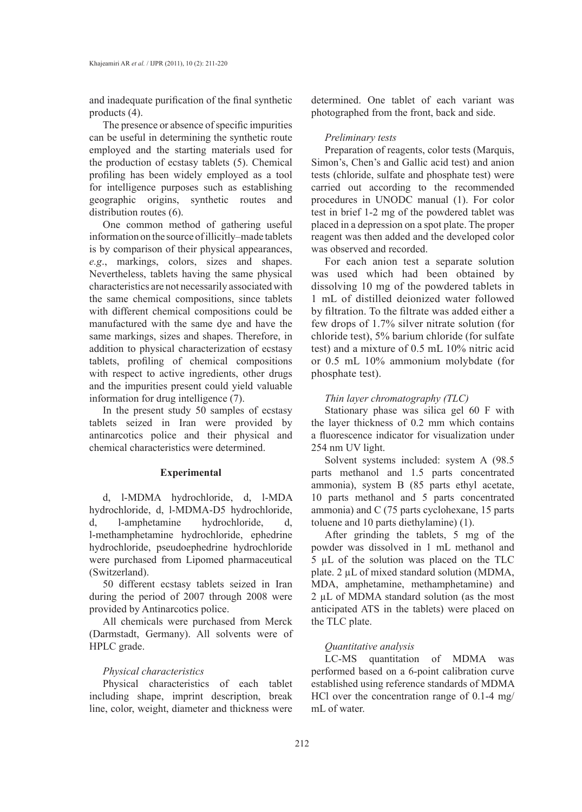and inadequate purification of the final synthetic products (4).

The presence or absence of specific impurities can be useful in determining the synthetic route employed and the starting materials used for the production of ecstasy tablets (5). Chemical profiling has been widely employed as a tool for intelligence purposes such as establishing geographic origins, synthetic routes and distribution routes (6).

One common method of gathering useful information on the source of illicitly–made tablets is by comparison of their physical appearances, *e.g*., markings, colors, sizes and shapes. Nevertheless, tablets having the same physical characteristics are not necessarily associated with the same chemical compositions, since tablets with different chemical compositions could be manufactured with the same dye and have the same markings, sizes and shapes. Therefore, in addition to physical characterization of ecstasy tablets, profiling of chemical compositions with respect to active ingredients, other drugs and the impurities present could yield valuable information for drug intelligence (7).

In the present study 50 samples of ecstasy tablets seized in Iran were provided by antinarcotics police and their physical and chemical characteristics were determined.

## **Experimental**

d, l-MDMA hydrochloride, d, l-MDA hydrochloride, d, l-MDMA-D5 hydrochloride, d, l-amphetamine hydrochloride, d, l-methamphetamine hydrochloride, ephedrine hydrochloride, pseudoephedrine hydrochloride were purchased from Lipomed pharmaceutical (Switzerland).

50 different ecstasy tablets seized in Iran during the period of 2007 through 2008 were provided by Antinarcotics police.

All chemicals were purchased from Merck (Darmstadt, Germany). All solvents were of HPLC grade.

# *Physical characteristics*

Physical characteristics of each tablet including shape, imprint description, break line, color, weight, diameter and thickness were determined. One tablet of each variant was photographed from the front, back and side.

#### *Preliminary tests*

Preparation of reagents, color tests (Marquis, Simon's, Chen's and Gallic acid test) and anion tests (chloride, sulfate and phosphate test) were carried out according to the recommended procedures in UNODC manual (1). For color test in brief 1-2 mg of the powdered tablet was placed in a depression on a spot plate. The proper reagent was then added and the developed color was observed and recorded.

For each anion test a separate solution was used which had been obtained by dissolving 10 mg of the powdered tablets in 1 mL of distilled deionized water followed by filtration. To the filtrate was added either a few drops of 1.7% silver nitrate solution (for chloride test), 5% barium chloride (for sulfate test) and a mixture of 0.5 mL 10% nitric acid or 0.5 mL 10% ammonium molybdate (for phosphate test).

# *Thin layer chromatography (TLC)*

Stationary phase was silica gel 60 F with the layer thickness of 0.2 mm which contains a fluorescence indicator for visualization under 254 nm UV light.

Solvent systems included: system A (98.5 parts methanol and 1.5 parts concentrated ammonia), system B (85 parts ethyl acetate, 10 parts methanol and 5 parts concentrated ammonia) and C (75 parts cyclohexane, 15 parts toluene and 10 parts diethylamine) (1).

After grinding the tablets, 5 mg of the powder was dissolved in 1 mL methanol and 5 µL of the solution was placed on the TLC plate. 2 µL of mixed standard solution (MDMA, MDA, amphetamine, methamphetamine) and 2 µL of MDMA standard solution (as the most anticipated ATS in the tablets) were placed on the TLC plate.

# *Quantitative analysis*

LC-MS quantitation of MDMA was performed based on a 6-point calibration curve established using reference standards of MDMA HCl over the concentration range of 0.1-4 mg/ mL of water.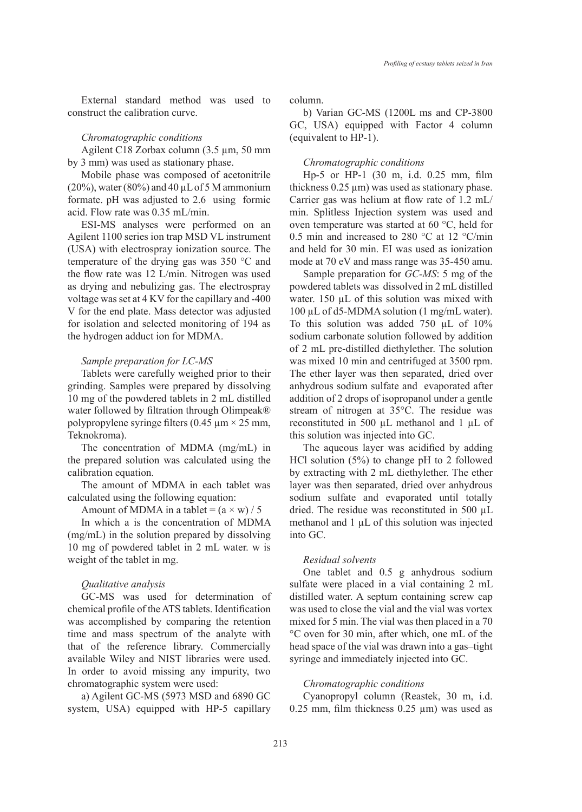External standard method was used to construct the calibration curve.

## *Chromatographic conditions*

Agilent C18 Zorbax column (3.5 µm, 50 mm by 3 mm) was used as stationary phase.

Mobile phase was composed of acetonitrile  $(20\%)$ , water  $(80\%)$  and 40 µL of 5 M ammonium formate. pH was adjusted to 2.6 using formic acid. Flow rate was 0.35 mL/min.

ESI-MS analyses were performed on an Agilent 1100 series ion trap MSD VL instrument (USA) with electrospray ionization source. The temperature of the drying gas was 350 °C and the flow rate was 12 L/min. Nitrogen was used as drying and nebulizing gas. The electrospray voltage was set at 4 KV for the capillary and -400 V for the end plate. Mass detector was adjusted for isolation and selected monitoring of 194 as the hydrogen adduct ion for MDMA.

## *Sample preparation for LC-MS*

Tablets were carefully weighed prior to their grinding. Samples were prepared by dissolving 10 mg of the powdered tablets in 2 mL distilled water followed by filtration through Olimpeak® polypropylene syringe filters  $(0.45 \mu m \times 25 mm)$ , Teknokroma).

The concentration of MDMA (mg/mL) in the prepared solution was calculated using the calibration equation.

The amount of MDMA in each tablet was calculated using the following equation:

Amount of MDMA in a tablet =  $(a \times w) / 5$ 

In which a is the concentration of MDMA (mg/mL) in the solution prepared by dissolving 10 mg of powdered tablet in 2 mL water. w is weight of the tablet in mg.

## *Qualitative analysis*

GC-MS was used for determination of chemical profile of the ATS tablets. Identification was accomplished by comparing the retention time and mass spectrum of the analyte with that of the reference library. Commercially available Wiley and NIST libraries were used. In order to avoid missing any impurity, two chromatographic system were used:

a) Agilent GC-MS (5973 MSD and 6890 GC system, USA) equipped with HP-5 capillary column.

b) Varian GC-MS (1200L ms and CP-3800 GC, USA) equipped with Factor 4 column (equivalent to HP-1).

## *Chromatographic conditions*

Hp-5 or HP-1 (30 m, i.d. 0.25 mm, film thickness  $0.25 \mu m$ ) was used as stationary phase. Carrier gas was helium at flow rate of 1.2 mL/ min. Splitless Injection system was used and oven temperature was started at 60 °C, held for 0.5 min and increased to 280 °C at 12 °C/min and held for 30 min. EI was used as ionization mode at 70 eV and mass range was 35-450 amu.

Sample preparation for *GC-MS*: 5 mg of the powdered tablets was dissolved in 2 mL distilled water. 150 µL of this solution was mixed with 100 µL of d5-MDMA solution (1 mg/mL water). To this solution was added 750 µL of 10% sodium carbonate solution followed by addition of 2 mL pre-distilled diethylether. The solution was mixed 10 min and centrifuged at 3500 rpm. The ether layer was then separated, dried over anhydrous sodium sulfate and evaporated after addition of 2 drops of isopropanol under a gentle stream of nitrogen at 35°C. The residue was reconstituted in 500 µL methanol and 1 µL of this solution was injected into GC.

The aqueous layer was acidified by adding HCl solution (5%) to change pH to 2 followed by extracting with 2 mL diethylether. The ether layer was then separated, dried over anhydrous sodium sulfate and evaporated until totally dried. The residue was reconstituted in 500 µL methanol and  $1 \mu L$  of this solution was injected into GC.

## *Residual solvents*

One tablet and 0.5 g anhydrous sodium sulfate were placed in a vial containing 2 mL distilled water. A septum containing screw cap was used to close the vial and the vial was vortex mixed for 5 min. The vial was then placed in a 70 °C oven for 30 min, after which, one mL of the head space of the vial was drawn into a gas–tight syringe and immediately injected into GC.

## *Chromatographic conditions*

Cyanopropyl column (Reastek, 30 m, i.d. 0.25 mm, film thickness 0.25 µm) was used as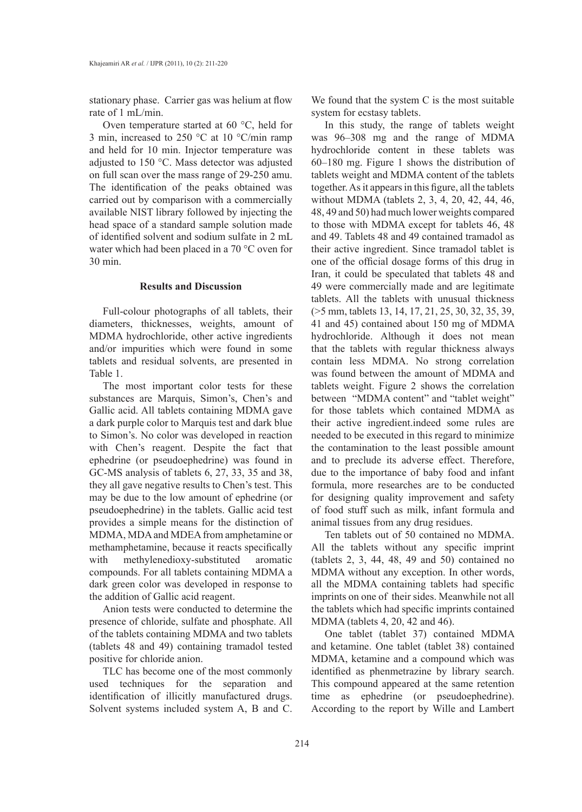stationary phase. Carrier gas was helium at flow rate of 1 mL/min.

Oven temperature started at 60 °C, held for 3 min, increased to 250 °C at 10 °C/min ramp and held for 10 min. Injector temperature was adjusted to 150 °C. Mass detector was adjusted on full scan over the mass range of 29-250 amu. The identification of the peaks obtained was carried out by comparison with a commercially available NIST library followed by injecting the head space of a standard sample solution made of identified solvent and sodium sulfate in 2 mL water which had been placed in a 70 °C oven for 30 min.

#### **Results and Discussion**

Full-colour photographs of all tablets, their diameters, thicknesses, weights, amount of MDMA hydrochloride, other active ingredients and/or impurities which were found in some tablets and residual solvents, are presented in Table 1.

The most important color tests for these substances are Marquis, Simon's, Chen's and Gallic acid. All tablets containing MDMA gave a dark purple color to Marquis test and dark blue to Simon's. No color was developed in reaction with Chen's reagent. Despite the fact that ephedrine (or pseudoephedrine) was found in GC-MS analysis of tablets 6, 27, 33, 35 and 38, they all gave negative results to Chen's test. This may be due to the low amount of ephedrine (or pseudoephedrine) in the tablets. Gallic acid test provides a simple means for the distinction of MDMA, MDA and MDEA from amphetamine or methamphetamine, because it reacts specifically with methylenedioxy-substituted aromatic compounds. For all tablets containing MDMA a dark green color was developed in response to the addition of Gallic acid reagent.

Anion tests were conducted to determine the presence of chloride, sulfate and phosphate. All of the tablets containing MDMA and two tablets (tablets 48 and 49) containing tramadol tested positive for chloride anion.

TLC has become one of the most commonly used techniques for the separation and identification of illicitly manufactured drugs. Solvent systems included system A, B and C.

We found that the system C is the most suitable system for ecstasy tablets.

In this study, the range of tablets weight was 96–308 mg and the range of MDMA hydrochloride content in these tablets was 60–180 mg. Figure 1 shows the distribution of tablets weight and MDMA content of the tablets together. As it appears in this figure, all the tablets without MDMA (tablets 2, 3, 4, 20, 42, 44, 46, 48, 49 and 50) had much lower weights compared to those with MDMA except for tablets 46, 48 and 49. Tablets 48 and 49 contained tramadol as their active ingredient. Since tramadol tablet is one of the official dosage forms of this drug in Iran, it could be speculated that tablets 48 and 49 were commercially made and are legitimate tablets. All the tablets with unusual thickness (>5 mm, tablets 13, 14, 17, 21, 25, 30, 32, 35, 39, 41 and 45) contained about 150 mg of MDMA hydrochloride. Although it does not mean that the tablets with regular thickness always contain less MDMA. No strong correlation was found between the amount of MDMA and tablets weight. Figure 2 shows the correlation between "MDMA content" and "tablet weight" for those tablets which contained MDMA as their active ingredient.indeed some rules are needed to be executed in this regard to minimize the contamination to the least possible amount and to preclude its adverse effect. Therefore, due to the importance of baby food and infant formula, more researches are to be conducted for designing quality improvement and safety of food stuff such as milk, infant formula and animal tissues from any drug residues.

Ten tablets out of 50 contained no MDMA. All the tablets without any specific imprint (tablets 2, 3, 44, 48, 49 and 50) contained no MDMA without any exception. In other words, all the MDMA containing tablets had specific imprints on one of their sides. Meanwhile not all the tablets which had specific imprints contained MDMA (tablets 4, 20, 42 and 46).

One tablet (tablet 37) contained MDMA and ketamine. One tablet (tablet 38) contained MDMA, ketamine and a compound which was identified as phenmetrazine by library search. This compound appeared at the same retention time as ephedrine (or pseudoephedrine). According to the report by Wille and Lambert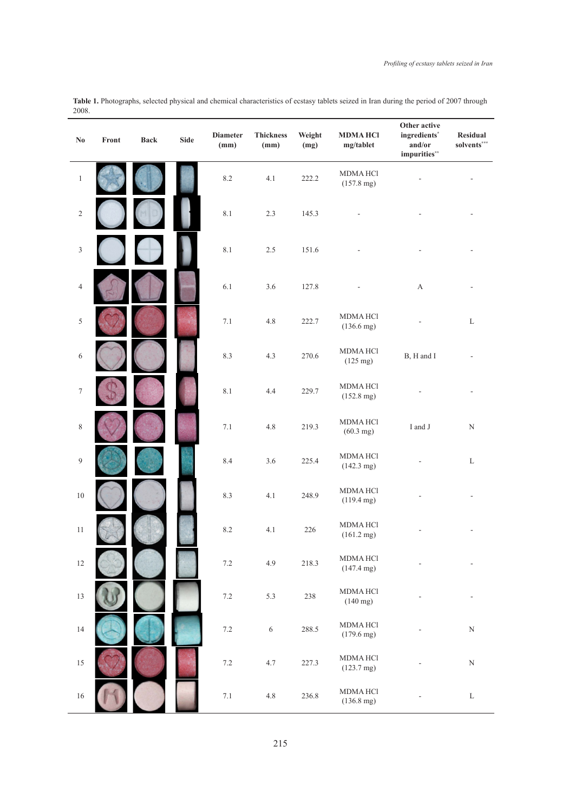**Table 1.** Photographs, selected physical and chemical characteristics of ecstasy tablets seized in Iran during the period of 2007 through 2008.

| $\mathbf{N}\mathbf{0}$ | Front | <b>Back</b> | <b>Side</b> | <b>Diameter</b><br>(mm) | <b>Thickness</b><br>(mm) | Weight<br>(mg) | <b>MDMAHCI</b><br>mg/tablet             | Other active<br>ingredients*<br>and/or<br>impurities** | Residual<br>solvents*** |
|------------------------|-------|-------------|-------------|-------------------------|--------------------------|----------------|-----------------------------------------|--------------------------------------------------------|-------------------------|
| $\,1\,$                |       |             |             | $8.2\,$                 | 4.1                      | 222.2          | <b>MDMAHCI</b><br>$(157.8 \text{ mg})$  |                                                        |                         |
| $\sqrt{2}$             |       |             |             | $8.1\,$                 | 2.3                      | 145.3          |                                         |                                                        |                         |
| $\mathfrak z$          |       |             |             | $8.1\,$                 | $2.5\,$                  | 151.6          |                                         |                                                        |                         |
| $\overline{4}$         |       |             |             | $6.1\,$                 | $3.6\,$                  | 127.8          |                                         | $\boldsymbol{\mathsf{A}}$                              |                         |
| $\sqrt{5}$             |       |             |             | 7.1                     | $4.8\,$                  | 222.7          | <b>MDMAHCI</b><br>$(136.6 \text{ mg})$  |                                                        | L                       |
| 6                      |       |             |             | 8.3                     | 4.3                      | 270.6          | <b>MDMAHCI</b><br>$(125 \text{ mg})$    | B, H and I                                             |                         |
| $\boldsymbol{7}$       |       |             |             | $8.1\,$                 | 4.4                      | 229.7          | <b>MDMAHCI</b><br>$(152.8 \text{ mg})$  |                                                        |                         |
| $\,$ $\,$              |       |             |             | 7.1                     | 4.8                      | 219.3          | <b>MDMAHCI</b><br>$(60.3 \text{ mg})$   | I and J                                                | $\mathbf N$             |
| $\overline{9}$         |       |             |             | 8.4                     | $3.6\,$                  | 225.4          | <b>MDMAHCI</b><br>$(142.3 \text{ mg})$  |                                                        | L                       |
| $10\,$                 |       |             |             | 8.3                     | 4.1                      | 248.9          | <b>MDMAHCI</b><br>$(119.4 \text{ mg})$  |                                                        |                         |
| 11                     |       |             |             | $8.2\,$                 | 4.1                      | 226            | <b>MDMAHCI</b><br>$(161.2 \text{ mg})$  |                                                        |                         |
| $12\,$                 |       |             |             | $7.2\,$                 | 4.9                      | 218.3          | <b>MDMA HCl</b><br>$(147.4 \text{ mg})$ |                                                        |                         |
| $13\,$                 |       |             |             | $7.2\,$                 | 5.3                      | 238            | <b>MDMA HCl</b><br>$(140 \text{ mg})$   |                                                        |                         |
| $14\,$                 |       |             |             | $7.2\,$                 | $\sqrt{6}$               | 288.5          | <b>MDMA HCl</b><br>$(179.6 \text{ mg})$ |                                                        | ${\bf N}$               |
| $15\,$                 |       |             |             | $7.2\,$                 | 4.7                      | 227.3          | <b>MDMA HCl</b><br>$(123.7 \text{ mg})$ |                                                        | ${\bf N}$               |
| $16\,$                 |       |             |             | $7.1\,$                 | $4.8\,$                  | 236.8          | <b>MDMA HCl</b><br>$(136.8 \text{ mg})$ |                                                        | $\mathbf L$             |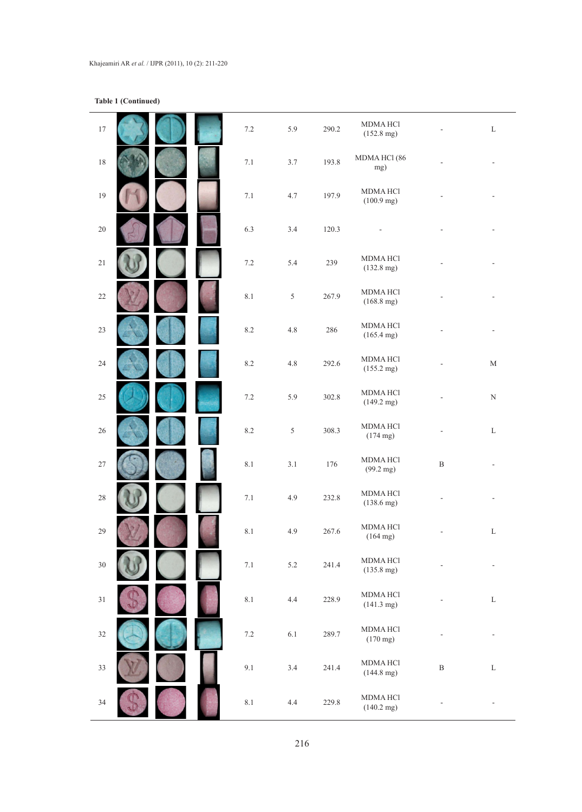**Table 1 (Continued)**

| $17\,$ |  | $7.2\,$   | 5.9     | 290.2 | <b>MDMA HCl</b><br>$(152.8 \text{ mg})$ |              | L           |
|--------|--|-----------|---------|-------|-----------------------------------------|--------------|-------------|
| $18\,$ |  | 7.1       | 3.7     | 193.8 | MDMA HCl (86<br>mg)                     |              |             |
| 19     |  | $7.1\,$   | 4.7     | 197.9 | <b>MDMA HCl</b><br>$(100.9 \text{ mg})$ |              |             |
| $20\,$ |  | 6.3       | 3.4     | 120.3 |                                         |              |             |
| $21\,$ |  | $7.2\,$   | 5.4     | 239   | <b>MDMA HCl</b><br>$(132.8 \text{ mg})$ |              |             |
| $22\,$ |  | 8.1       | 5       | 267.9 | <b>MDMA HCl</b><br>$(168.8 \text{ mg})$ |              |             |
| $23\,$ |  | $\ \ 8.2$ | $4.8\,$ | 286   | <b>MDMA HCl</b><br>$(165.4 \text{ mg})$ |              |             |
| 24     |  | $\ \ 8.2$ | $4.8\,$ | 292.6 | <b>MDMA HCl</b><br>$(155.2 \text{ mg})$ |              | $\mathbf M$ |
| $25\,$ |  | $7.2\,$   | 5.9     | 302.8 | <b>MDMA HCl</b><br>$(149.2 \text{ mg})$ |              | ${\bf N}$   |
| $26\,$ |  | $\ \ 8.2$ | 5       | 308.3 | <b>MDMA HCl</b><br>$(174 \text{ mg})$   | ÷,           | $\mathbf L$ |
| $27\,$ |  | $8.1\,$   | 3.1     | 176   | <b>MDMA HCl</b><br>$(99.2 \text{ mg})$  | $\, {\bf B}$ | $\sim$      |
| $28\,$ |  | $7.1\,$   | 4.9     | 232.8 | <b>MDMA HCl</b><br>$(138.6 \text{ mg})$ |              |             |
| 29     |  | 8.1       | 4.9     | 267.6 | <b>MDMA HCl</b><br>$(164 \text{ mg})$   |              | $\mathbf L$ |
| $30\,$ |  | $7.1\,$   | 5.2     | 241.4 | <b>MDMA HCl</b><br>$(135.8 \text{ mg})$ |              |             |
| 31     |  | $8.1\,$   | 4.4     | 228.9 | <b>MDMA HCl</b><br>$(141.3 \text{ mg})$ |              | $\mathbf L$ |
| $32\,$ |  | $7.2\,$   | 6.1     | 289.7 | MDMA HCl<br>$(170 \text{ mg})$          |              |             |
| 33     |  | 9.1       | 3.4     | 241.4 | <b>MDMA HCl</b><br>$(144.8 \text{ mg})$ | $\, {\bf B}$ | $\mathbf L$ |
| 34     |  | $8.1\,$   | $4.4\,$ | 229.8 | <b>MDMA HCl</b><br>$(140.2 \text{ mg})$ |              |             |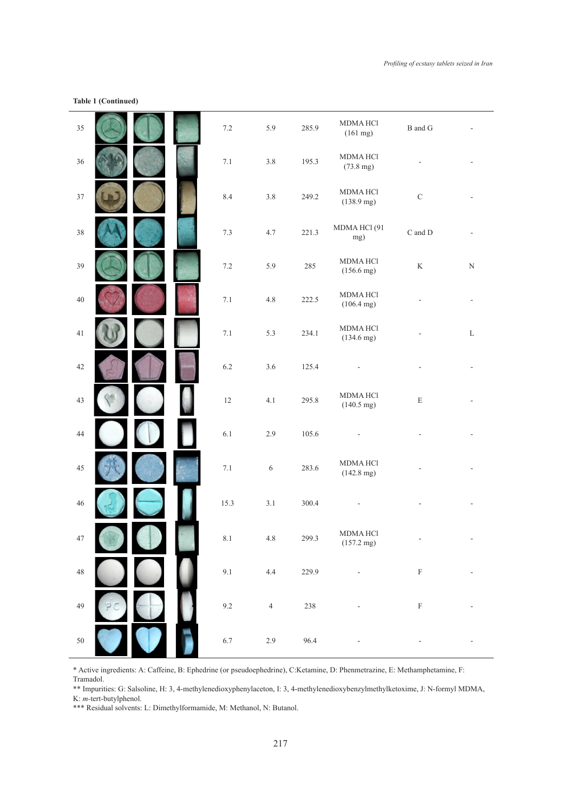# **Table 1 (Continued)**

| 35     |  | $7.2\,$ | 5.9        | 285.9 | <b>MDMAHCI</b><br>(161 mg)             | $\, {\bf B}$ and ${\bf G}$  |                          |
|--------|--|---------|------------|-------|----------------------------------------|-----------------------------|--------------------------|
| $36\,$ |  | $7.1\,$ | $3.8\,$    | 195.3 | <b>MDMAHCI</b><br>$(73.8 \text{ mg})$  |                             |                          |
| 37     |  | 8.4     | $3.8\,$    | 249.2 | <b>MDMAHCI</b><br>$(138.9 \text{ mg})$ | $\mathbf C$                 |                          |
| 38     |  | $7.3\,$ | 4.7        | 221.3 | MDMA HCl(91<br>mg)                     | $\mathrm C$ and $\mathrm D$ | ÷,                       |
| 39     |  | $7.2\,$ | 5.9        | 285   | <b>MDMAHCI</b><br>$(156.6 \text{ mg})$ | $\rm K$                     | ${\bf N}$                |
| $40\,$ |  | $7.1\,$ | $4.8\,$    | 222.5 | <b>MDMAHCI</b><br>$(106.4 \text{ mg})$ |                             | $\overline{\phantom{a}}$ |
| 41     |  | $7.1\,$ | 5.3        | 234.1 | <b>MDMAHCI</b><br>$(134.6 \text{ mg})$ |                             | $\mathbf L$              |
| $42\,$ |  | $6.2\,$ | $3.6\,$    | 125.4 |                                        |                             |                          |
| 43     |  | $12\,$  | 4.1        | 295.8 | <b>MDMAHCI</b><br>$(140.5 \text{ mg})$ | $\mathbf E$                 |                          |
| 44     |  | 6.1     | 2.9        | 105.6 |                                        |                             |                          |
| $45\,$ |  | $7.1\,$ | $\sqrt{6}$ | 283.6 | <b>MDMAHCI</b><br>$(142.8 \text{ mg})$ |                             |                          |
| $46\,$ |  | 15.3    | $3.1\,$    | 300.4 |                                        |                             |                          |
| 47     |  | $8.1\,$ | $4.8\,$    | 299.3 | <b>MDMAHCI</b><br>$(157.2 \text{ mg})$ | $\overline{\phantom{a}}$    | $\overline{\phantom{a}}$ |
| $48\,$ |  | $9.1\,$ | 4.4        | 229.9 |                                        | $\mathbf F$                 |                          |
| 49     |  | 9.2     | $\sqrt{4}$ | 238   |                                        | $\boldsymbol{\mathrm{F}}$   |                          |
| $50\,$ |  | 6.7     | $2.9\,$    | 96.4  |                                        |                             |                          |

\* Active ingredients: A: Caffeine, B: Ephedrine (or pseudoephedrine), C:Ketamine, D: Phenmetrazine, E: Methamphetamine, F:

Tramadol. \*\* Impurities: G: Salsoline, H: 3, 4-methylenedioxyphenylaceton, I: 3, 4-methylenedioxybenzylmethylketoxime, J: N-formyl MDMA, K: *m-*tert-butylphenol.

\*\*\* Residual solvents: L: Dimethylformamide, M: Methanol, N: Butanol.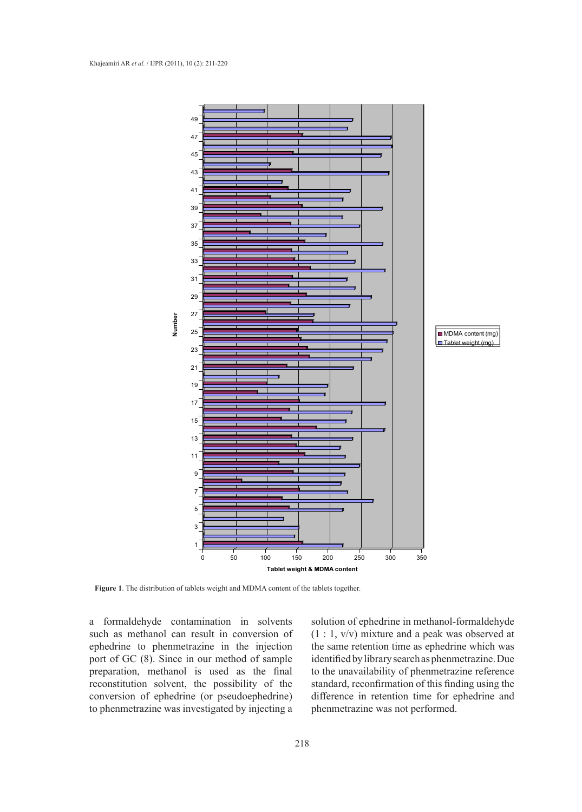

**Figure 1**. The distribution of tablets weight and MDMA content of the tablets together.

a formaldehyde contamination in solvents such as methanol can result in conversion of ephedrine to phenmetrazine in the injection port of GC (8). Since in our method of sample preparation, methanol is used as the final reconstitution solvent, the possibility of the conversion of ephedrine (or pseudoephedrine) to phenmetrazine was investigated by injecting a

solution of ephedrine in methanol-formaldehyde (1 : 1, v/v) mixture and a peak was observed at the same retention time as ephedrine which was identified by library search as phenmetrazine. Due to the unavailability of phenmetrazine reference standard, reconfirmation of this finding using the difference in retention time for ephedrine and phenmetrazine was not performed.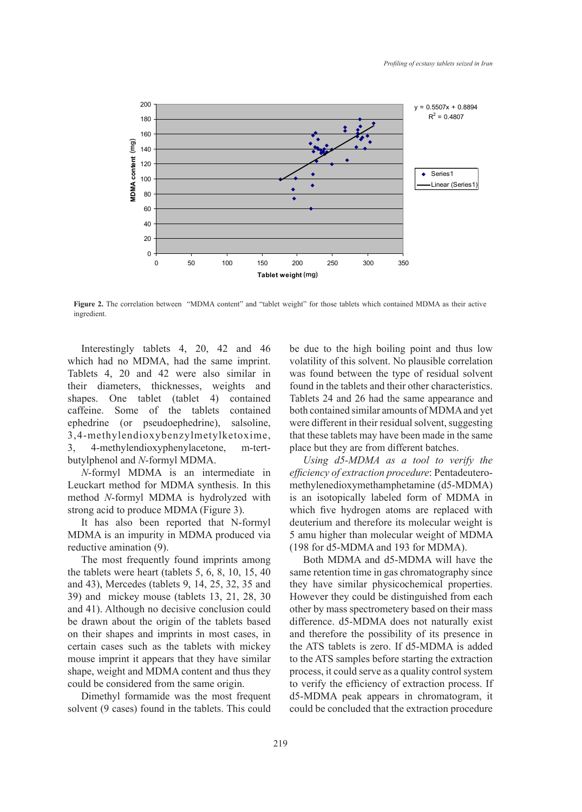

**Figure 2.** The correlation between "MDMA content" and "tablet weight" for those tablets which contained MDMA as their active ingredient.

Interestingly tablets 4, 20, 42 and 46 which had no MDMA, had the same imprint. Tablets 4, 20 and 42 were also similar in their diameters, thicknesses, weights and shapes. One tablet (tablet 4) contained caffeine. Some of the tablets contained ephedrine (or pseudoephedrine), salsoline, 3,4-methylendioxybenzylmetylketoxime, 3, 4-methylendioxyphenylacetone, m-tertbutylphenol and *N*-formyl MDMA.

*N*-formyl MDMA is an intermediate in Leuckart method for MDMA synthesis. In this method *N*-formyl MDMA is hydrolyzed with strong acid to produce MDMA (Figure 3).

It has also been reported that N-formyl MDMA is an impurity in MDMA produced via reductive amination (9).

The most frequently found imprints among the tablets were heart (tablets 5, 6, 8, 10, 15, 40 and 43), Mercedes (tablets 9, 14, 25, 32, 35 and 39) and mickey mouse (tablets 13, 21, 28, 30 and 41). Although no decisive conclusion could be drawn about the origin of the tablets based on their shapes and imprints in most cases, in certain cases such as the tablets with mickey mouse imprint it appears that they have similar shape, weight and MDMA content and thus they could be considered from the same origin.

Dimethyl formamide was the most frequent solvent (9 cases) found in the tablets. This could be due to the high boiling point and thus low volatility of this solvent. No plausible correlation was found between the type of residual solvent found in the tablets and their other characteristics. Tablets 24 and 26 had the same appearance and both contained similar amounts of MDMA and yet were different in their residual solvent, suggesting that these tablets may have been made in the same place but they are from different batches.

*Using d5-MDMA as a tool to verify the efficiency of extraction procedure*: Pentadeuteromethylenedioxymethamphetamine (d5-MDMA) is an isotopically labeled form of MDMA in which five hydrogen atoms are replaced with deuterium and therefore its molecular weight is 5 amu higher than molecular weight of MDMA (198 for d5-MDMA and 193 for MDMA).

Both MDMA and d5-MDMA will have the same retention time in gas chromatography since they have similar physicochemical properties. However they could be distinguished from each other by mass spectrometery based on their mass difference. d5-MDMA does not naturally exist and therefore the possibility of its presence in the ATS tablets is zero. If d5-MDMA is added to the ATS samples before starting the extraction process, it could serve as a quality control system to verify the efficiency of extraction process. If d5-MDMA peak appears in chromatogram, it could be concluded that the extraction procedure